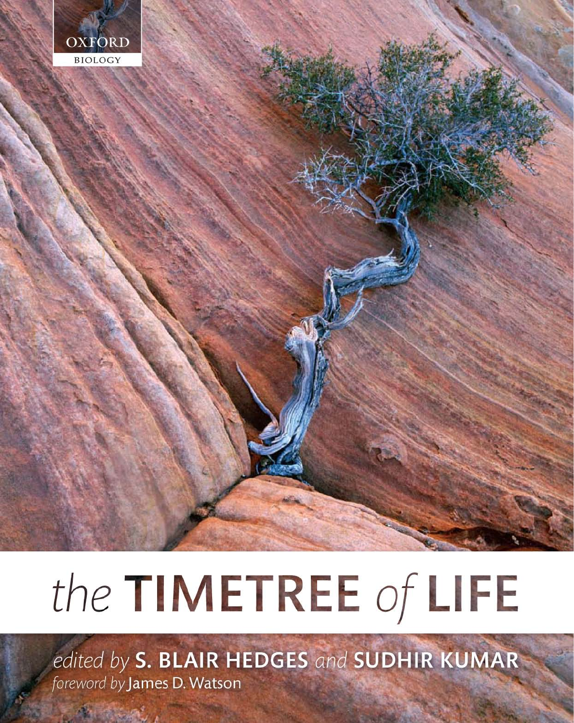

# the TIMETREE of LIFE

edited by S. BLAIR HEDGES and SUDHIR KUMAR foreword by James D. Watson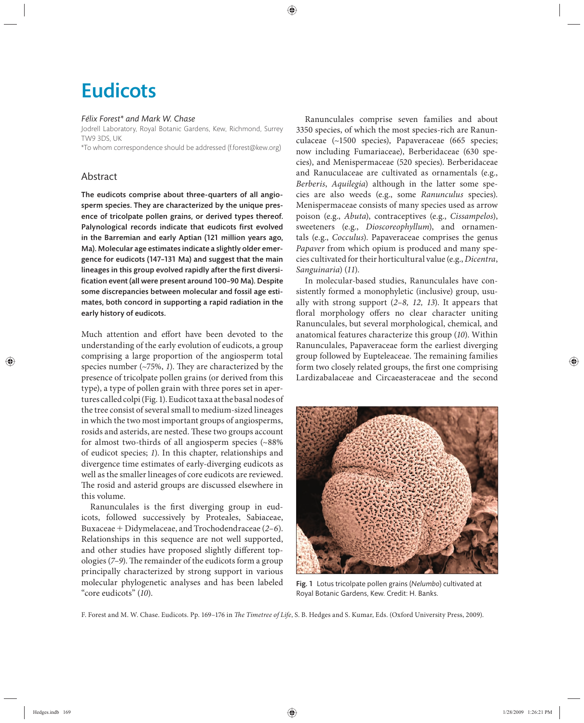# **Eudicots**

### *Félix Forest\* and Mark W. Chase*

Jodrell Laboratory, Royal Botanic Gardens, Kew, Richmond, Surrey TW9 3DS, UK

\*To whom correspondence should be addressed (f.forest@kew.org)

# Abstract

The eudicots comprise about three-quarters of all angiosperm species. They are characterized by the unique presence of tricolpate pollen grains, or derived types thereof. Palynological records indicate that eudicots first evolved in the Barremian and early Aptian (121 million years ago, Ma). Molecular age estimates indicate a slightly older emergence for eudicots (147–131 Ma) and suggest that the main lineages in this group evolved rapidly after the first diversification event (all were present around 100-90 Ma). Despite some discrepancies between molecular and fossil age estimates, both concord in supporting a rapid radiation in the early history of eudicots.

Much attention and effort have been devoted to the understanding of the early evolution of eudicots, a group comprising a large proportion of the angiosperm total species number  $(\sim 75\%, 1)$ . They are characterized by the presence of tricolpate pollen grains (or derived from this type), a type of pollen grain with three pores set in apertures called colpi (Fig. 1). Eudicot taxa at the basal nodes of the tree consist of several small to medium-sized lineages in which the two most important groups of angiosperms, rosids and asterids, are nested. These two groups account for almost two-thirds of all angiosperm species (~88% of eudicot species; *1*). In this chapter, relationships and divergence time estimates of early-diverging eudicots as well as the smaller lineages of core eudicots are reviewed. The rosid and asterid groups are discussed elsewhere in this volume.

Ranunculales is the first diverging group in eudicots, followed successively by Proteales, Sabiaceae, Buxaceae + Didymelaceae, and Trochodendraceae (*2–6*). Relationships in this sequence are not well supported, and other studies have proposed slightly different topologies (*7–9*). The remainder of the eudicots form a group principally characterized by strong support in various molecular phylogenetic analyses and has been labeled "core eudicots" (*10*).

Ranunculales comprise seven families and about 3350 species, of which the most species-rich are Ranunculaceae (~1500 species), Papaveraceae (665 species; now including Fumariaceae), Berberidaceae (630 species), and Menispermaceae (520 species). Berberidaceae and Ranuculaceae are cultivated as ornamentals (e.g., *Berberis*, *Aquilegia*) although in the latter some species are also weeds (e.g., some *Ranunculus* species). Menispermaceae consists of many species used as arrow poison (e.g., *Abuta*), contraceptives (e.g., *Cissampelos*), sweeteners (e.g., *Dioscoreophyllum*), and ornamentals (e.g., *Cocculus*). Papaveraceae comprises the genus *Papaver* from which opium is produced and many species cultivated for their horticultural value (e.g., *Dicentra*, *Sanguinaria*) (*11*).

In molecular-based studies, Ranunculales have consistently formed a monophyletic (inclusive) group, usually with strong support (*2–8, 12, 13*). It appears that floral morphology offers no clear character uniting Ranunculales, but several morphological, chemical, and anatomical features characterize this group (*10*). Within Ranunculales, Papaveraceae form the earliest diverging group followed by Eupteleaceae. The remaining families form two closely related groups, the first one comprising Lardizabalaceae and Circaeasteraceae and the second



Fig. 1 Lotus tricolpate pollen grains (*Nelumbo*) cultivated at Royal Botanic Gardens, Kew. Credit: H. Banks.

F. Forest and M. W. Chase. Eudicots. Pp. 169-176 in *The Timetree of Life*, S. B. Hedges and S. Kumar, Eds. (Oxford University Press, 2009).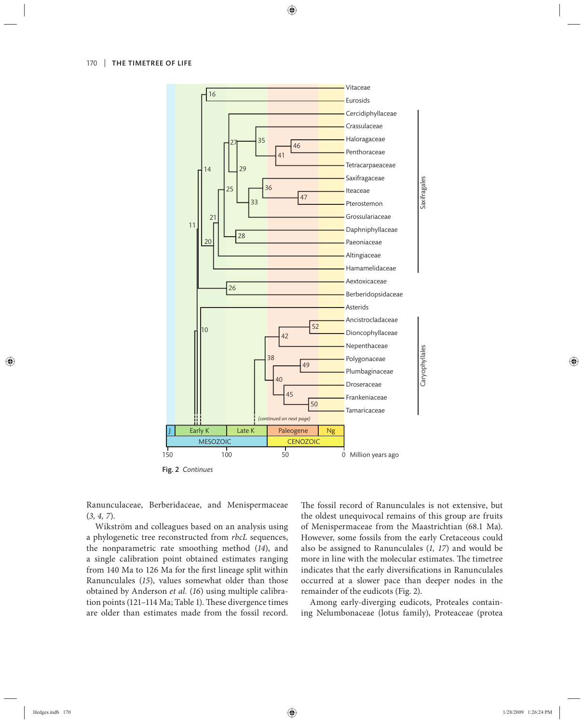

Fig. 2 *Continues*

Ranunculaceae, Berberidaceae, and Menispermaceae (*3, 4, 7*).

Wikström and colleagues based on an analysis using a phylogenetic tree reconstructed from *rbcL* sequences, the nonparametric rate smoothing method (*14*), and a single calibration point obtained estimates ranging from 140 Ma to 126 Ma for the first lineage split within Ranunculales (15), values somewhat older than those obtained by Anderson *et al.* (*16*) using multiple calibration points (121-114 Ma; Table 1). These divergence times are older than estimates made from the fossil record. The fossil record of Ranunculales is not extensive, but the oldest unequivocal remains of this group are fruits of Menispermaceae from the Maastrichtian (68.1 Ma). However, some fossils from the early Cretaceous could also be assigned to Ranunculales (*1, 17*) and would be more in line with the molecular estimates. The timetree indicates that the early diversifications in Ranunculales occurred at a slower pace than deeper nodes in the remainder of the eudicots (Fig. 2).

Among early-diverging eudicots, Proteales containing Nelumbonaceae (lotus family), Proteaceae (protea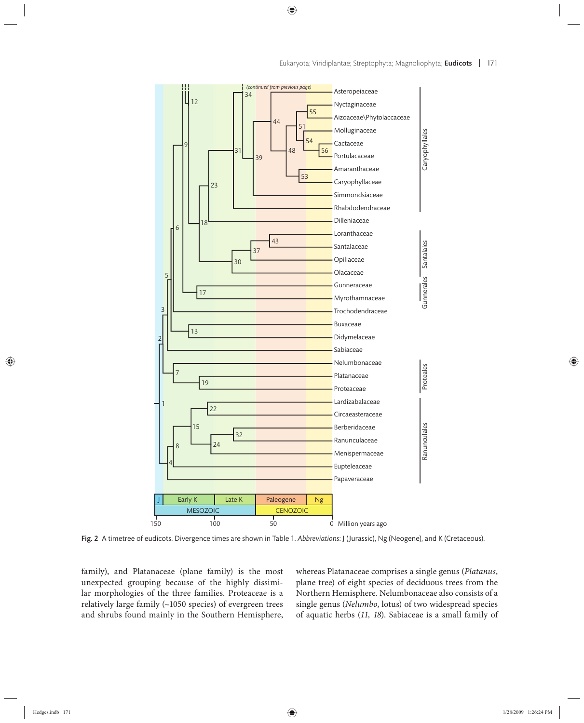

Fig. 2 A timetree of eudicots. Divergence times are shown in Table 1. *Abbreviations*: J (Jurassic), Ng (Neogene), and K (Cretaceous).

family), and Platanaceae (plane family) is the most unexpected grouping because of the highly dissimilar morphologies of the three families. Proteaceae is a relatively large family (~1050 species) of evergreen trees and shrubs found mainly in the Southern Hemisphere, whereas Platanaceae comprises a single genus (*Platanus*, plane tree) of eight species of deciduous trees from the Northern Hemisphere. Nelumbonaceae also consists of a single genus (*Nelumbo*, lotus) of two widespread species of aqu atic herbs (*11, 18*). Sabiaceae is a small family of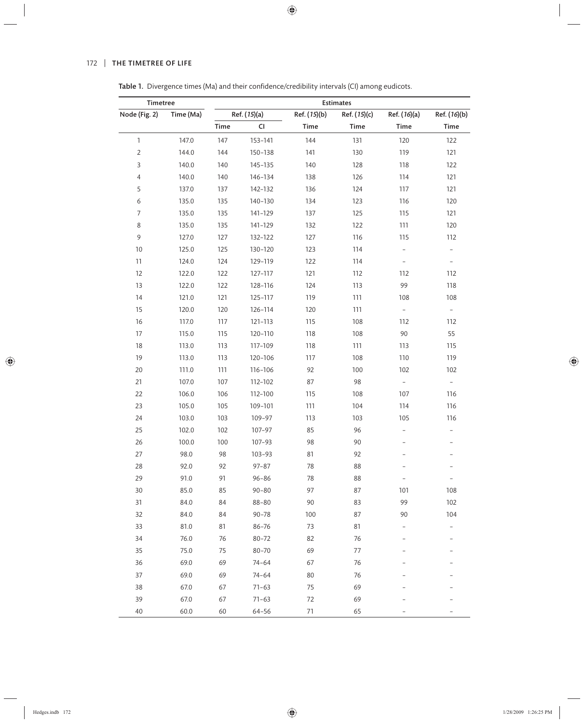# 172 | THE TIMETREE OF LIFE

| Timetree       |           | <b>Estimates</b> |              |              |              |                          |                          |  |  |
|----------------|-----------|------------------|--------------|--------------|--------------|--------------------------|--------------------------|--|--|
| Node (Fig. 2)  | Time (Ma) |                  | Ref. (15)(a) | Ref. (15)(b) | Ref. (15)(c) | Ref. (16)(a)             | Ref. (16)(b)             |  |  |
|                |           | Time             | CI           | Time         | Time         | Time                     | Time                     |  |  |
| 1              | 147.0     | 147              | 153-141      | 144          | 131          | 120                      | 122                      |  |  |
| $\overline{2}$ | 144.0     | 144              | 150-138      | 141          | 130          | 119                      | 121                      |  |  |
| $\mathsf{3}$   | 140.0     | 140              | 145-135      | 140          | 128          | 118                      | 122                      |  |  |
| $\overline{4}$ | 140.0     | 140              | 146-134      | 138          | 126          | 114                      | 121                      |  |  |
| 5              | 137.0     | 137              | 142-132      | 136          | 124          | 117                      | 121                      |  |  |
| 6              | 135.0     | 135              | 140-130      | 134          | 123          | 116                      | 120                      |  |  |
| $\overline{7}$ | 135.0     | 135              | 141-129      | 137          | 125          | 115                      | 121                      |  |  |
| $\,8\,$        | 135.0     | 135              | 141-129      | 132          | 122          | 111                      | 120                      |  |  |
| 9              | 127.0     | 127              | 132-122      | 127          | 116          | 115                      | 112                      |  |  |
| $10$           | 125.0     | 125              | 130-120      | 123          | 114          |                          | $\overline{\phantom{0}}$ |  |  |
| 11             | 124.0     | 124              | 129-119      | 122          | 114          |                          | $\overline{\phantom{a}}$ |  |  |
| 12             | 122.0     | 122              | 127-117      | 121          | 112          | 112                      | 112                      |  |  |
| 13             | 122.0     | 122              | 128-116      | 124          | 113          | 99                       | 118                      |  |  |
| 14             | 121.0     | 121              | 125-117      | 119          | 111          | 108                      | 108                      |  |  |
| 15             | 120.0     | 120              | 126-114      | 120          | 111          | $\equiv$                 | $\equiv$                 |  |  |
| 16             | 117.0     | 117              | 121-113      | 115          | 108          | 112                      | 112                      |  |  |
| 17             | 115.0     | 115              | 120-110      | 118          | 108          | 90                       | 55                       |  |  |
| $18\,$         | 113.0     | 113              | 117-109      | 118          | 111          | 113                      | 115                      |  |  |
| 19             | 113.0     | 113              | 120-106      | 117          | 108          | 110                      | 119                      |  |  |
| 20             | 111.0     | 111              | 116-106      | 92           | 100          | 102                      | 102                      |  |  |
| 21             | 107.0     | 107              | 112-102      | 87           | 98           | $\overline{\phantom{a}}$ | $\equiv$                 |  |  |
| 22             | 106.0     | 106              | 112-100      | 115          | 108          | 107                      | 116                      |  |  |
| 23             | 105.0     | 105              | 109-101      | 111          | 104          | 114                      | 116                      |  |  |
| 24             | 103.0     | 103              | 109-97       | 113          | 103          | 105                      | 116                      |  |  |
| 25             | 102.0     | 102              | 107-97       | 85           | 96           |                          |                          |  |  |
| 26             | 100.0     | 100              | 107-93       | 98           | 90           |                          |                          |  |  |
| 27             | 98.0      | 98               | $103 - 93$   | 81           | 92           |                          |                          |  |  |
| 28             | 92.0      | 92               | $97 - 87$    | 78           | 88           |                          |                          |  |  |
| 29             | 91.0      | 91               | $96 - 86$    | 78           | 88           |                          |                          |  |  |
| 30             | 85.0      | 85               | $90 - 80$    | 97           | 87           | 101                      | 108                      |  |  |
| 31             | 84.0      | 84               | $88 - 80$    | 90           | 83           | 99                       | 102                      |  |  |
| 32             | 84.0      | 84               | $90 - 78$    | 100          | 87           | 90                       | 104                      |  |  |
| 33             | 81.0      | 81               | $86 - 76$    | 73           | 81           |                          | $\overline{\phantom{0}}$ |  |  |
| 34             | 76.0      | 76               | $80 - 72$    | 82           | 76           |                          | $\overline{\phantom{0}}$ |  |  |
| 35             | 75.0      | 75               | 80-70        | 69           | 77           |                          |                          |  |  |
| 36             | 69.0      | 69               | $74 - 64$    | 67           | 76           |                          |                          |  |  |
| 37             | 69.0      | 69               | $74 - 64$    | 80           | 76           |                          |                          |  |  |
| 38             | 67.0      | 67               | $71 - 63$    | 75           | 69           |                          |                          |  |  |
| 39             | 67.0      | 67               | $71 - 63$    | 72           | 69           |                          |                          |  |  |
| 40             | 60.0      | 60               | 64-56        | 71           | 65           |                          |                          |  |  |

Table 1. Divergence times (Ma) and their confidence/credibility intervals (CI) among eudicots.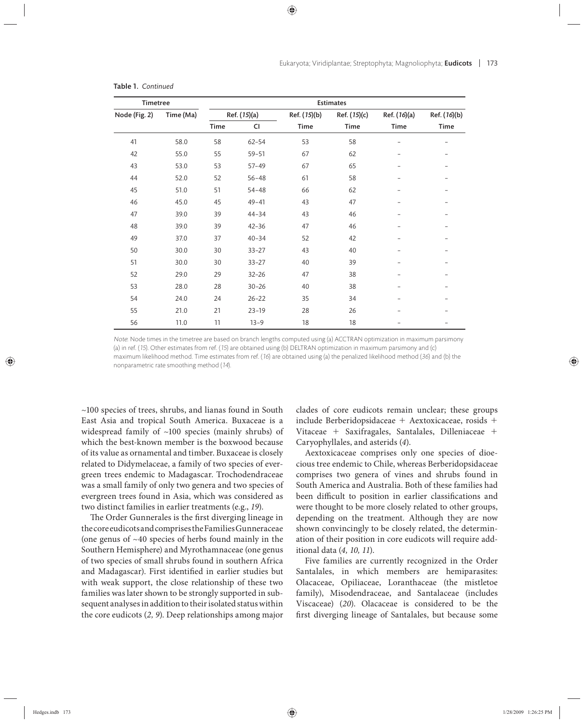| <b>Timetree</b> |           | Estimates    |           |              |              |              |              |  |  |
|-----------------|-----------|--------------|-----------|--------------|--------------|--------------|--------------|--|--|
| Node (Fig. 2)   | Time (Ma) | Ref. (15)(a) |           | Ref. (15)(b) | Ref. (15)(c) | Ref. (16)(a) | Ref. (16)(b) |  |  |
|                 |           | Time         | CI        | Time         | Time         | Time         | Time         |  |  |
| 41              | 58.0      | 58           | $62 - 54$ | 53           | 58           | -            | -            |  |  |
| 42              | 55.0      | 55           | $59 - 51$ | 67           | 62           |              |              |  |  |
| 43              | 53.0      | 53           | $57 - 49$ | 67           | 65           |              |              |  |  |
| 44              | 52.0      | 52           | $56 - 48$ | 61           | 58           |              |              |  |  |
| 45              | 51.0      | 51           | $54 - 48$ | 66           | 62           |              |              |  |  |
| 46              | 45.0      | 45           | $49 - 41$ | 43           | 47           |              |              |  |  |
| 47              | 39.0      | 39           | $44 - 34$ | 43           | 46           |              |              |  |  |
| 48              | 39.0      | 39           | $42 - 36$ | 47           | 46           |              |              |  |  |
| 49              | 37.0      | 37           | $40 - 34$ | 52           | 42           |              |              |  |  |
| 50              | 30.0      | 30           | $33 - 27$ | 43           | 40           |              |              |  |  |
| 51              | 30.0      | 30           | $33 - 27$ | 40           | 39           |              |              |  |  |
| 52              | 29.0      | 29           | $32 - 26$ | 47           | 38           |              |              |  |  |
| 53              | 28.0      | 28           | $30 - 26$ | 40           | 38           |              |              |  |  |
| 54              | 24.0      | 24           | $26 - 22$ | 35           | 34           |              |              |  |  |
| 55              | 21.0      | 21           | $23 - 19$ | 28           | 26           |              |              |  |  |
| 56              | 11.0      | 11           | $13 - 9$  | 18           | 18           |              |              |  |  |

#### Table 1. *Continued*

Note: Node times in the timetree are based on branch lengths computed using (a) ACCTRAN optimization in maximum parsimony (a) in ref. (15). Other estimates from ref. (15) are obtained using (b) DELTRAN optimization in maximum parsimony and (c) maximum likelihood method. Time estimates from ref. (16) are obtained using (a) the penalized likelihood method (36) and (b) the nonparametric rate smoothing method (14).

~100 species of trees, shrubs, and lianas found in South East Asia and tropical South America. Buxaceae is a widespread family of ~100 species (mainly shrubs) of which the best-known member is the boxwood because of its value as ornamental and timber. Buxaceae is closely related to Didymelaceae, a family of two species of evergreen trees endemic to Madagascar. Trochodendraceae was a small family of only two genera and two species of evergreen trees found in Asia, which was considered as two distinct families in earlier treatments (e.g., *19*).

The Order Gunnerales is the first diverging lineage in the core eudicots and comprises the Families Gunneraceae (one genus of  $~10$  species of herbs found mainly in the Southern Hemisphere) and Myrothamnaceae (one genus of two species of small shrubs found in southern Africa and Madagascar). First identified in earlier studies but with weak support, the close relationship of these two families was later shown to be strongly supported in subsequent analyses in addition to their isolated status within the core eudicots (*2, 9*). Deep relationships among major

clades of core eudicots remain unclear; these groups include Berberidopsidaceae + Aextoxicaceae, rosids + Vitaceae + Saxifragales, Santalales, Dilleniaceae + Caryophyllales, and asterids (*4*).

Aextoxicaceae comprises only one species of dioecious tree endemic to Chile, whereas Berberidopsidaceae comprises two genera of vines and shrubs found in South America and Australia. Both of these families had been difficult to position in earlier classifications and were thought to be more closely related to other groups, depending on the treatment. Although they are now shown convincingly to be closely related, the determination of their position in core eudicots will require additional data (*4, 10, 11*).

Five families are currently recognized in the Order Santalales, in which members are hemiparasites: Olacaceae, Opiliaceae, Loranthaceae (the mistletoe family), Misodendraceae, and Santalaceae (includes Viscaceae) (*20*). Olacaceae is considered to be the first diverging lineage of Santalales, but because some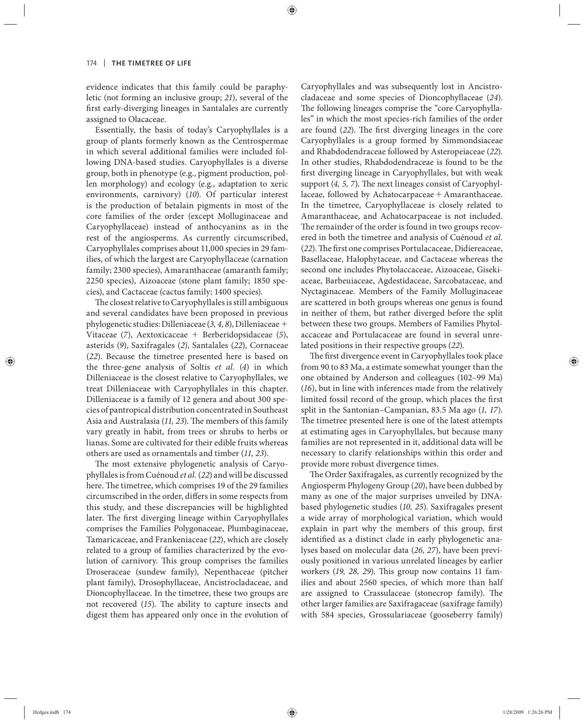evidence indicates that this family could be paraphyletic (not forming an inclusive group; *21*), several of the first early-diverging lineages in Santalales are currently assigned to Olacaceae.

Essentially, the basis of today's Caryophyllales is a group of plants formerly known as the Centrospermae in which several additional families were included following DNA-based studies. Caryophyllales is a diverse group, both in phenotype (e.g., pigment production, pollen morphology) and ecology (e.g., adaptation to xeric environments, carnivory) (*10*). Of particular interest is the production of betalain pigments in most of the core families of the order (except Molluginaceae and Caryophyllaceae) instead of anthocyanins as in the rest of the angiosperms. As currently circumscribed, Caryophyllales comprises about 11,000 species in 29 families, of which the largest are Caryophyllaceae (carnation family; 2300 species), Amaranthaceae (amaranth family; 2250 species), Aizoaceae (stone plant family; 1850 species), and Cactaceae (cactus family; 1400 species).

The closest relative to Caryophyllales is still ambiguous and several candidates have been proposed in previous phylogenetic studies: Dilleniaceae (*3, 4, 8*), Dilleniaceae + Vitaceae (*7*), Aextoxicaceae + Berberidopsidaceae (*5*), asterids (*9*), Saxifragales (*2*), Santalales (*22*), Cornaceae (*22*). Because the timetree presented here is based on the three-gene analysis of Soltis *et al.* (*4*) in which Dilleniaceae is the closest relative to Caryophyllales, we treat Dilleniaceae with Caryophyllales in this chapter. Dilleniaceae is a family of 12 genera and about 300 species of pantropical distribution concentrated in Southeast Asia and Australasia (11, 23). The members of this family vary greatly in habit, from trees or shrubs to herbs or lianas. Some are cultivated for their edible fruits whereas others are used as ornamentals and timber (*11, 23*).

The most extensive phylogenetic analysis of Caryophyllales is from Cuénoud *et al.* (*22*) and will be discussed here. The timetree, which comprises 19 of the 29 families circumscribed in the order, differs in some respects from this study, and these discrepancies will be highlighted later. The first diverging lineage within Caryophyllales comprises the Families Polygonaceae, Plumbaginaceae, Tamaricaceae, and Frankeniaceae (*22*), which are closely related to a group of families characterized by the evolution of carnivory. This group comprises the families Droseraceae (sundew family), Nepenthaceae (pitcher plant family), Drosophyllaceae, Ancistrocladaceae, and Dioncophyllaceae. In the timetree, these two groups are not recovered (15). The ability to capture insects and digest them has appeared only once in the evolution of Caryophyllales and was subsequently lost in Ancistrocladaceae and some species of Dioncophyllaceae (*24*). The following lineages comprise the "core Caryophyllales" in which the most species-rich families of the order are found (22). The first diverging lineages in the core Caryophyllales is a group formed by Simmondsiaceae and Rhabdodendraceae followed by Asteropeiaceae (*22*). In other studies, Rhabdodendraceae is found to be the first diverging lineage in Caryophyllales, but with weak support  $(4, 5, 7)$ . The next lineages consist of Caryophyllaceae, followed by Achatocarpaceae + Amaranthaceae. In the timetree, Caryophyllaceae is closely related to Amaranthaceae, and Achatocarpaceae is not included. The remainder of the order is found in two groups recovered in both the timetree and analysis of Cuénoud *et al.* (22). The first one comprises Portulacaceae, Didiereaceae, Basellaceae, Halophytaceae, and Cactaceae whereas the second one includes Phytolaccaceae, Aizoaceae, Gisekiaceae, Barbeuiaceae, Agdestidaceae, Sarcobataceae, and Nyctaginaceae. Members of the Family Molluginaceae are scattered in both groups whereas one genus is found in neither of them, but rather diverged before the split between these two groups. Members of Families Phytolaccaceae and Portulacaceae are found in several unrelated positions in their respective groups (*22*).

The first divergence event in Caryophyllales took place from 90 to 83 Ma, a estimate somewhat younger than the one obtained by Anderson and colleagues (102–99 Ma) (*16*), but in line with inferences made from the relatively limited fossil record of the group, which places the first split in the Santonian–Campanian, 83.5 Ma ago (*1, 17*). The timetree presented here is one of the latest attempts at estimating ages in Caryophyllales, but because many families are not represented in it, additional data will be necessary to clarify relationships within this order and provide more robust divergence times.

The Order Saxifragales, as currently recognized by the Angiosperm Phylogeny Group (*20*), have been dubbed by many as one of the major surprises unveiled by DNAbased phylogenetic studies (*10, 25*). Saxifragales present a wide array of morphological variation, which would explain in part why the members of this group, first identified as a distinct clade in early phylogenetic analyses based on molecular data (*26, 27*), have been previously positioned in various unrelated lineages by earlier workers (19, 28, 29). This group now contains 11 families and about 2560 species, of which more than half are assigned to Crassulaceae (stonecrop family). The other larger families are Saxifragaceae (saxifrage family) with 584 species, Grossulariaceae (gooseberry family)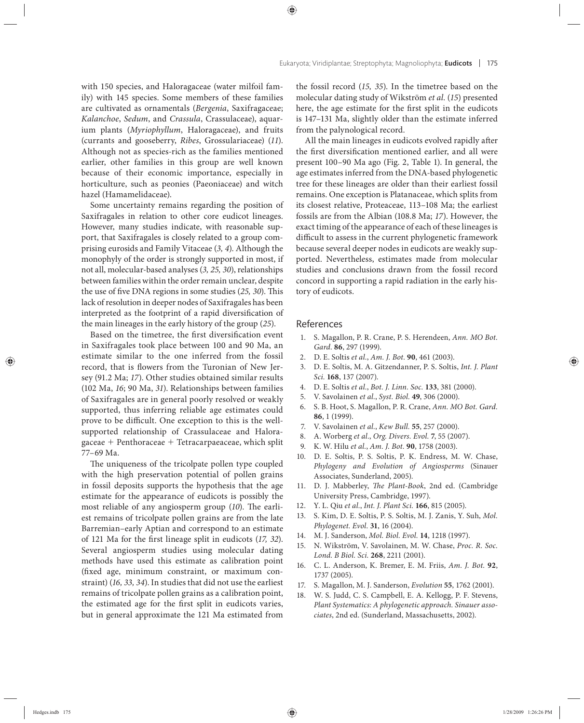with 150 species, and Haloragaceae (water milfoil family) with 145 species. Some members of these families are cultivated as ornamentals (*Bergenia*, Saxifragaceae; *Kalanchoe*, *Sedum*, and *Crassula*, Crassulaceae), aquarium plants (Myriophyllum, Haloragaceae), and fruits (cu rrants and gooseberry, *Ribes*, Grossulariaceae) (*11*). Although not as species-rich as the families mentioned earlier, other families in this group are well known because of their economic importance, especially in horticulture, such as peonies (Paeoniaceae) and witch hazel (Hamamelidaceae).

Some uncertainty remains regarding the position of Saxifragales in relation to other core eudicot lineages. However, many studies indicate, with reasonable support, that Saxifragales is closely related to a group comprising eurosids and Family Vitaceae (*3, 4*). Although the monophyly of the order is strongly supported in most, if not all, molecular-based analyses (*3, 25, 30*), relationships between families within the order remain unclear, despite the use of five DNA regions in some studies (25, 30). This lack of resolution in deeper nodes of Saxifragales has been interpreted as the footprint of a rapid diversification of the main lineages in the early history of the group (*25*).

Based on the timetree, the first diversification event in Saxifragales took place between 100 and 90 Ma, an estimate similar to the one inferred from the fossil record, that is flowers from the Turonian of New Jersey (91.2 Ma; *17*). Other studies obtained similar results (102 Ma, *16*; 90 Ma, *31*). Relationships between families of Saxifragales are in general poorly resolved or weakly supported, thus inferring reliable age estimates could prove to be difficult. One exception to this is the wellsupported relationship of Crassulaceae and Haloragaceae + Penthoraceae + Tetracarpaeaceae, which split 77–69 Ma.

The uniqueness of the tricolpate pollen type coupled with the high preservation potential of pollen grains in fossil deposits supports the hypothesis that the age estimate for the appearance of eudicots is possibly the most reliable of any angiosperm group (10). The earliest remains of tricolpate pollen grains are from the late Barremian–early Aptian and correspond to an estimate of 121 Ma for the first lineage split in eudicots (17, 32). Several angiosperm studies using molecular dating methods have used this estimate as calibration point (fixed age, minimum constraint, or maximum constraint) (*16, 33, 34*). In studies that did not use the earliest remains of tricolpate pollen grains as a calibration point, the estimated age for the first split in eudicots varies, but in general approximate the 121 Ma estimated from

the fossil record (*15, 35*). In the timetree based on the molecular dating study of Wikström *et al.* (*15*) presented here, the age estimate for the first split in the eudicots is 147–131 Ma, slightly older than the estimate inferred from the palynological record.

All the main lineages in eudicots evolved rapidly after the first diversification mentioned earlier, and all were present 100–90 Ma ago (Fig. 2, Table 1). In general, the age estimates inferred from the DNA-based phylogenetic tree for these lineages are older than their earliest fossil remains. One exception is Platanaceae, which splits from its closest relative, Proteaceae, 113–108 Ma; the earliest fossils are from the Albian (108.8 Ma; *17*). However, the exact timing of the appearance of each of these lineages is difficult to assess in the current phylogenetic framework because several deeper nodes in eudicots are weakly supported. Nevertheless, estimates made from molecular studies and conclusions drawn from the fossil record concord in supporting a rapid radiation in the early history of eudicots.

#### References

- 1. S. Magallon, P. R. Crane, P. S. Herendeen, *Ann. MO Bot. Gard.* **86**, 297 (1999).
- 2. D. E. Soltis *et al.*, *Am. J. Bot.* **90**, 461 (2003).
- 3. D. E. Soltis, M. A. Gitzendanner, P. S. Soltis, *Int. J. Plant Sci.* **168**, 137 (2007).
- 4. D. E. Soltis *et al.*, *Bot. J. Linn. Soc.* **133**, 381 (2000).
- 5. V. Savolainen *et al.*, *Syst. Biol.* **49**, 306 (2000).
- 6. S. B. Hoot, S. Magallon, P. R. Crane, *Ann. MO Bot. Gard.* **86**, 1 (1999).
- 7. V. Savolainen *et al.*, *Kew Bull.* **55**, 257 (2000).
- 8. A. Worberg *et al.*, *Org. Divers. Evol.* **7**, 55 (2007).
- 9. K. W. Hilu *et al.*, *Am. J. Bot.* **90**, 1758 (2003).
- 10. D. E. Soltis, P. S. Soltis, P. K. Endress, M. W. Chase, Phylogeny and Evolution of Angiosperms (Sinauer Associates, Sunderland, 2005).
- 11. D. J. Mabberley, *The Plant-Book*, 2nd ed. (Cambridge University Press, Cambridge, 1997).
- 12. Y. L. Qiu *et al.*, *Int. J. Plant Sci.* **166**, 815 (2005).
- 13. S. Kim, D. E. Soltis, P. S. Soltis, M. J. Zanis, Y. Suh, *Mol. Phylogenet. Evol.* **31**, 16 (2004).
- 14. M. J. Sanderson, *Mol. Biol. Evol.* **14**, 1218 (1997).
- 15. N. Wikström, V. Savolainen, M. W. Chase, *Proc. R. Soc. Lond. B Biol. Sci.* **268**, 2211 (2001).
- 16. C. L. Anderson, K. Bremer, E. M. Friis, *Am. J. Bot.* **92**, 1737 (2005).
- 17. S. Magallon, M. J. Sanderson, *Evolution* **55**, 1762 (2001).
- 18. W. S. Judd, C. S. Campbell, E. A. Kellogg, P. F. Stevens, *Plant Systematics: A phylogenetic approach. Sinauer associates*, 2nd ed. (Sunderland, Massachusetts, 2002).